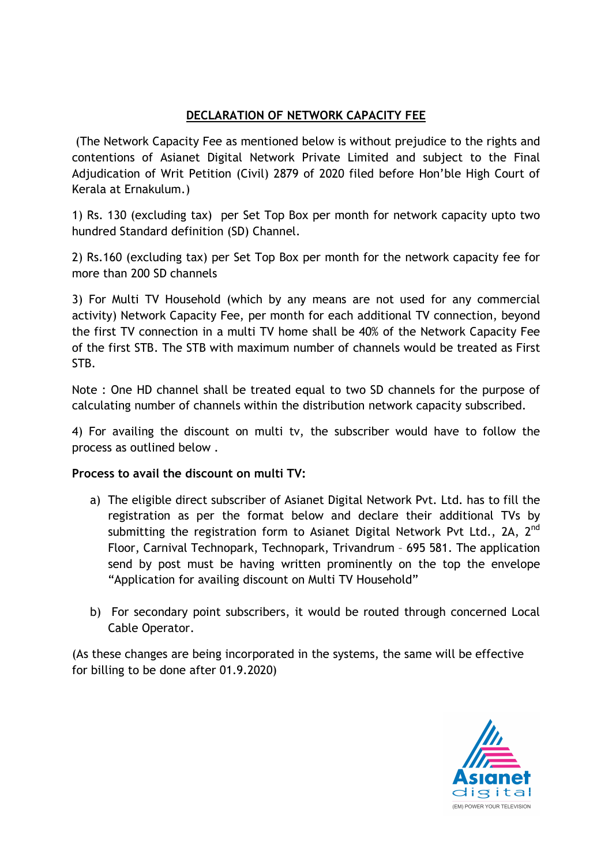## DECLARATION OF NETWORK CAPACITY FEE

 (The Network Capacity Fee as mentioned below is without prejudice to the rights and contentions of Asianet Digital Network Private Limited and subject to the Final Adjudication of Writ Petition (Civil) 2879 of 2020 filed before Hon'ble High Court of Kerala at Ernakulum.)

1) Rs. 130 (excluding tax) per Set Top Box per month for network capacity upto two hundred Standard definition (SD) Channel.

2) Rs.160 (excluding tax) per Set Top Box per month for the network capacity fee for more than 200 SD channels

3) For Multi TV Household (which by any means are not used for any commercial activity) Network Capacity Fee, per month for each additional TV connection, beyond the first TV connection in a multi TV home shall be 40% of the Network Capacity Fee of the first STB. The STB with maximum number of channels would be treated as First STB.

Note : One HD channel shall be treated equal to two SD channels for the purpose of calculating number of channels within the distribution network capacity subscribed.

4) For availing the discount on multi tv, the subscriber would have to follow the process as outlined below .

## Process to avail the discount on multi TV:

- a) The eligible direct subscriber of Asianet Digital Network Pvt. Ltd. has to fill the registration as per the format below and declare their additional TVs by submitting the registration form to Asianet Digital Network Pvt Ltd., 2A, 2<sup>nd</sup> Floor, Carnival Technopark, Technopark, Trivandrum – 695 581. The application send by post must be having written prominently on the top the envelope "Application for availing discount on Multi TV Household"
- b) For secondary point subscribers, it would be routed through concerned Local Cable Operator.

(As these changes are being incorporated in the systems, the same will be effective for billing to be done after 01.9.2020)